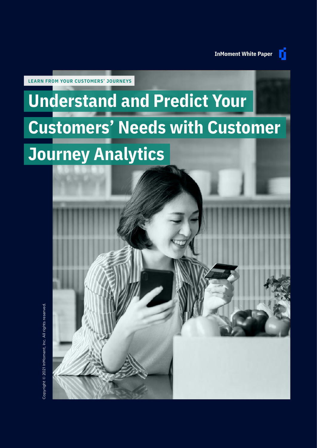n

**LEARN FROM YOUR CUSTOMERS' JOURNEYS**

## **Understand and Predict Your Customers' Needs with Customer Journey Analytics**

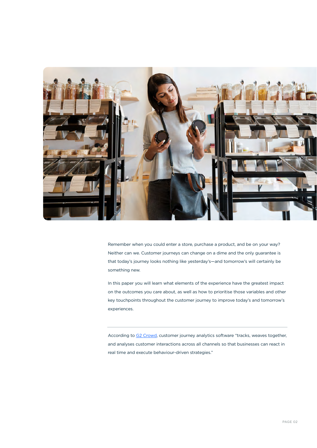

Remember when you could enter a store, purchase a product, and be on your way? Neither can we. Customer journeys can change on a dime and the only guarantee is that today's journey looks nothing like yesterday's—and tomorrow's will certainly be something new.

In this paper you will learn what elements of the experience have the greatest impact on the outcomes you care about, as well as how to prioritise those variables and other key touchpoints throughout the customer journey to improve today's and tomorrow's experiences.

According to [G2 Crowd](https://www.g2.com/categories/customer-journey-analytics), customer journey analytics software "tracks, weaves together, and analyses customer interactions across all channels so that businesses can react in real time and execute behaviour-driven strategies."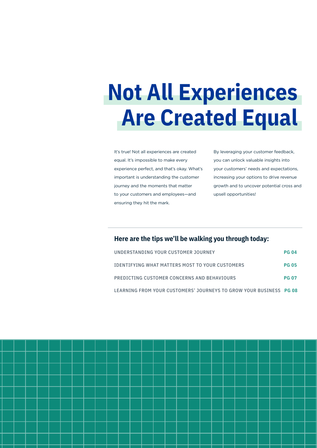## **Not All Experiences Are Created Equal**

It's true! Not all experiences are created equal. It's impossible to make every experience perfect, and that's okay. What's important is understanding the customer journey and the moments that matter to your customers and employees—and ensuring they hit the mark.

By leveraging your customer feedback, you can unlock valuable insights into your customers' needs and expectations, increasing your options to drive revenue growth and to uncover potential cross and upsell opportunities!

### **Here are the tips we'll be walking you through today:**

| UNDERSTANDING YOUR CUSTOMER JOURNEY                                | <b>PG 04</b> |
|--------------------------------------------------------------------|--------------|
| IDENTIFYING WHAT MATTERS MOST TO YOUR CUSTOMERS                    | <b>PG 05</b> |
| PREDICTING CUSTOMER CONCERNS AND BEHAVIOURS                        | <b>PG 07</b> |
| LEARNING FROM YOUR CUSTOMERS' JOURNEYS TO GROW YOUR BUSINESS PG 08 |              |

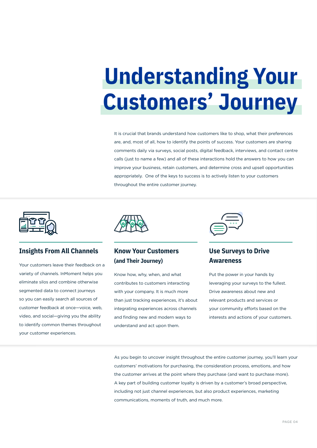# **Understanding Your Customers' Journey**

It is crucial that brands understand how customers like to shop, what their preferences are, and, most of all, how to identify the points of success. Your customers are sharing comments daily via surveys, social posts, digital feedback, interviews, and contact centre calls (just to name a few) and all of these interactions hold the answers to how you can improve your business, retain customers, and determine cross and upsell opportunities appropriately. One of the keys to success is to actively listen to your customers throughout the entire customer journey.



### **Insights From All Channels**

Your customers leave their feedback on a variety of channels. InMoment helps you eliminate silos and combine otherwise segmented data to connect journeys so you can easily search all sources of customer feedback at once—voice, web, video, and social—giving you the ability to identify common themes throughout your customer experiences.



## **Know Your Customers (and Their Journey)**

Know how, why, when, and what contributes to customers interacting with your company. It is much more than just tracking experiences, it's about integrating experiences across channels and finding new and modern ways to understand and act upon them.



## **Use Surveys to Drive Awareness**

Put the power in your hands by leveraging your surveys to the fullest. Drive awareness about new and relevant products and services or your community efforts based on the interests and actions of your customers.

As you begin to uncover insight throughout the entire customer journey, you'll learn your customers' motivations for purchasing, the consideration process, emotions, and how the customer arrives at the point where they purchase (and want to purchase more). A key part of building customer loyalty is driven by a customer's broad perspective, including not just channel experiences, but also product experiences, marketing communications, moments of truth, and much more.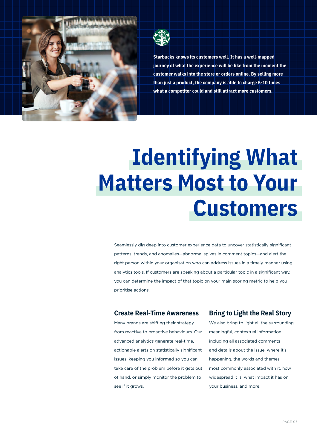

**Starbucks knows its customers well. It has a well-mapped journey of what the experience will be like from the moment the customer walks into the store or orders online. By selling more than just a product, the company is able to charge 5-10 times what a competitor could and still attract more customers.**

# **Identifying What Matters Most to Your Customers**

Seamlessly dig deep into customer experience data to uncover statistically significant patterns, trends, and anomalies—abnormal spikes in comment topics—and alert the right person within your organisation who can address issues in a timely manner using analytics tools. If customers are speaking about a particular topic in a significant way, you can determine the impact of that topic on your main scoring metric to help you prioritise actions.

#### **Create Real-Time Awareness**

Many brands are shifting their strategy from reactive to proactive behaviours. Our advanced analytics generate real-time, actionable alerts on statistically significant issues, keeping you informed so you can take care of the problem before it gets out of hand, or simply monitor the problem to see if it grows.

#### **Bring to Light the Real Story**

We also bring to light all the surrounding meaningful, contextual information, including all associated comments and details about the issue, where it's happening, the words and themes most commonly associated with it, how widespread it is, what impact it has on your business, and more.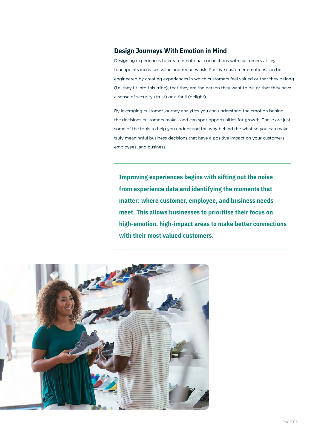#### **Design Journeys With Emotion in Mind**

Designing experiences to create emotional connections with customers at key touchpoints increases value and reduces risk. Positive customer emotions can be engineered by creating experiences in which customers feel valued or that they belong (i.e. they fit into this tribe), that they are the person they want to be, or that they have a sense of security (trust) or a thrill (delight).

By leveraging customer journey analytics you can understand the emotion behind the decisions customers make—and can spot opportunities for growth. These are just some of the tools to help you understand the why behind the what so you can make truly meaningful business decisions that have a positive impact on your customers, employees, and business.

**Improving experiences begins with sifting out the noise from experience data and identifying the moments that matter: where customer, employee, and business needs meet. This allows businesses to prioritise their focus on high-emotion, high-impact areas to make better connections with their most valued customers.**

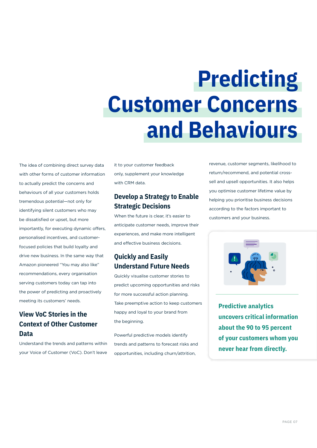# **Predicting Customer Concerns and Behaviours**

The idea of combining direct survey data with other forms of customer information to actually predict the concerns and behaviours of all your customers holds tremendous potential—not only for identifying silent customers who may be dissatisfied or upset, but more importantly, for executing dynamic offers, personalised incentives, and customerfocused policies that build loyalty and drive new business. In the same way that Amazon pioneered "You may also like" recommendations, every organisation serving customers today can tap into the power of predicting and proactively meeting its customers' needs.

## **View VoC Stories in the Context of Other Customer Data**

Understand the trends and patterns within your Voice of Customer (VoC). Don't leave

it to your customer feedback only, supplement your knowledge with CRM data.

## **Develop a Strategy to Enable Strategic Decisions**

When the future is clear, it's easier to anticipate customer needs, improve their experiences, and make more intelligent and effective business decisions.

## **Quickly and Easily Understand Future Needs**

Quickly visualise customer stories to predict upcoming opportunities and risks for more successful action planning. Take preemptive action to keep customers happy and loyal to your brand from the beginning.

Powerful predictive models identify trends and patterns to forecast risks and opportunities, including churn/attrition,

revenue, customer segments, likelihood to return/recommend, and potential crosssell and upsell opportunities. It also helps you optimise customer lifetime value by helping you prioritise business decisions according to the factors important to customers and your business.



**Predictive analytics uncovers critical information about the 90 to 95 percent of your customers whom you never hear from directly.**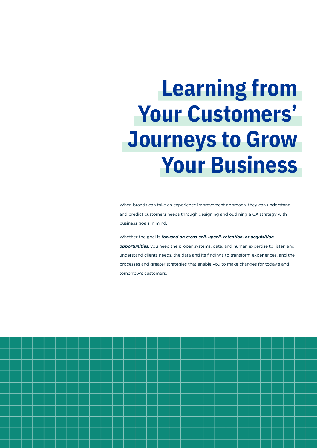# **Learning from Your Customers' Journeys to Grow Your Business**

When brands can take an experience improvement approach, they can understand and predict customers needs through designing and outlining a CX strategy with business goals in mind.

Whether the goal is *focused on cross-sell, upsell, retention, or acquisition opportunities*, you need the proper systems, data, and human expertise to listen and understand clients needs, the data and its findings to transform experiences, and the processes and greater strategies that enable you to make changes for today's and tomorrow's customers.